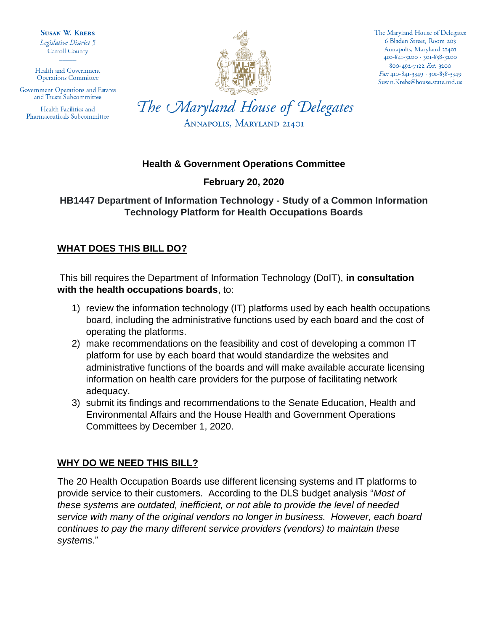**SUSAN W. KREBS** Legislative District 5 **Carroll County** 

Health and Government **Operations Committee** 

Government Operations and Estates and Trusts Subcommittee

Health Facilities and Pharmaceuticals Subcommittee



The Maryland House of Delegates 6 Bladen Street, Room 203 Annapolis, Maryland 21401 410-841-3200 · 301-858-3200 800-492-7122 Ext. 3200  $Fax$  410-841-3349 · 301-858-3349 Susan.Krebs@house.state.md.us

The Maryland House of Delegates ANNAPOLIS, MARYLAND 21401

### **Health & Government Operations Committee**

## **February 20, 2020**

## **HB1447 Department of Information Technology - Study of a Common Information Technology Platform for Health Occupations Boards**

# **WHAT DOES THIS BILL DO?**

This bill requires the Department of Information Technology (DoIT), **in consultation with the health occupations boards**, to:

- 1) review the information technology (IT) platforms used by each health occupations board, including the administrative functions used by each board and the cost of operating the platforms.
- 2) make recommendations on the feasibility and cost of developing a common IT platform for use by each board that would standardize the websites and administrative functions of the boards and will make available accurate licensing information on health care providers for the purpose of facilitating network adequacy.
- 3) submit its findings and recommendations to the Senate Education, Health and Environmental Affairs and the House Health and Government Operations Committees by December 1, 2020.

# **WHY DO WE NEED THIS BILL?**

The 20 Health Occupation Boards use different licensing systems and IT platforms to provide service to their customers. According to the DLS budget analysis "*Most of these systems are outdated, inefficient, or not able to provide the level of needed service with many of the original vendors no longer in business. However, each board continues to pay the many different service providers (vendors) to maintain these systems*."